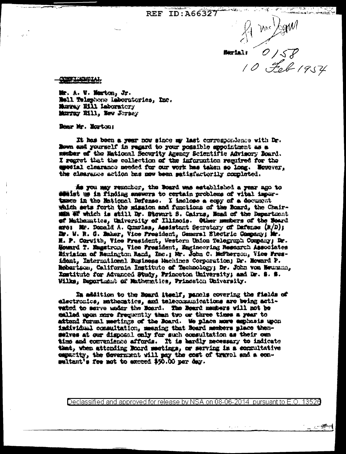REF ID:A66327

Mrc /Sgrul

್ಲಿ ಸು⊋್ಲಿ⊋

**ENTERNAL O 158** 

**BEINDARIAL** 

融. A. W. Marton, & . Mail Telephone Laboratories, Inc. Murray E111 Laboratory Marray Xill, New Jersey

Remr Mr. Horton:

It has been a year now since my last correspondence with Dr. Nown and yourself in regard to your possible appointment as a member of the Mational Security Agency Scientific Advisory Board. I regret that the collection of the information regulred for the agedial clearance meeded for our work has taken so long. Movever, the clearance action has now been patisfactorily completed.

As you may remember, the Board was astablished a year ago to some that the finding suspers to certain problems of vital importance in the Metional Defense. I inclose a copy of a document which sets forth the mission and functions of the Board, the Chairmin W which is still Dr. Stowrt S. Cairns, Nead of the Department of Mathematics, University of Illinois. Other members of the Moard are: Mr. Donald A. Quarles, Assistant Secretary of Dafense (R/D); Dr. W. R. C. Ember, Vice President, General Electric Company; Mr. H. P. Corwith, Vice Prasident, Western Union Telegraph Company; Dr. Howard T. Emgstron, Vice President, Engineering Research Associates Eivinion of Remington Rand, Inc.; Mr. John C. MaTherson, Vice Fresident, International Eusiness Hachines Corporation; Dr. Moward P. Reberison, California Institute of Technology; Dr. John von Meurann, Institute for Advanced Study, Princeton University; and Dr. S. S. Wilks, Repartment of Mathematics, Princeton University.

In addition to the Board itself, panels covering the fields of electronics, mathematics, and telecommunications are being activated to serve under the Board. The Board members will not be called upon more frequently than two or three times a year to attend furmal meetings of the Board. We place more amphasis upon individual commultation, meaning that Roard members place themselves at our disposal enly for such consultation as their own time and convenience affords. It is hardly necessary to indicate that, when attending Board meetings, or serving in a commultative expactty, the Gevernment will pay the cost of travel and a consaltant's fee not to acceed \$90.00 per day.

Declassified and approved for release by NSA on 08-06-2014 pursuant to E.O. 13526